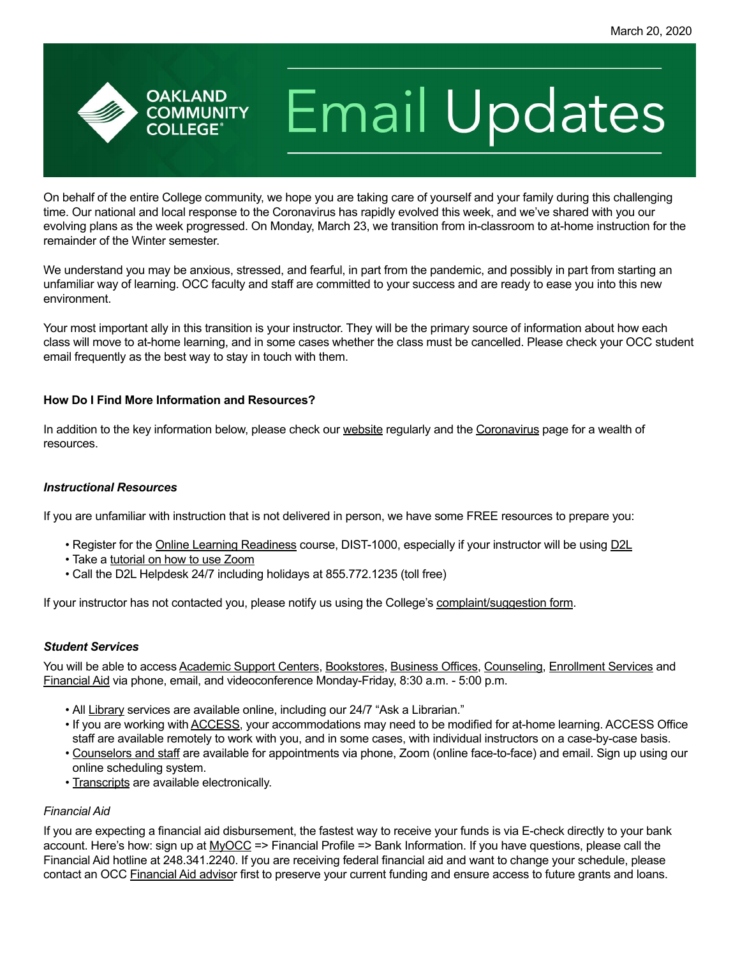# **Email Updates**

On behalf of the entire College community, we hope you are taking care of yourself and your family during this challenging time. Our national and local response to the Coronavirus has rapidly evolved this week, and we've shared with you our evolving plans as the week progressed. On Monday, March 23, we transition from in-classroom to at-home instruction for the remainder of the Winter semester.

We understand you may be anxious, stressed, and fearful, in part from the pandemic, and possibly in part from starting an unfamiliar way of learning. OCC faculty and staff are committed to your success and are ready to ease you into this new environment.

Your most important ally in this transition is your instructor. They will be the primary source of information about how each class will move to at-home learning, and in some cases whether the class must be cancelled. Please check your OCC student email frequently as the best way to stay in touch with them.

#### **How Do I Find More Information and Resources?**

**OAKLAND COMMUNITY COLLEGE** 

In addition to the key information below, please check our [website](https://www.oaklandcc.edu/) regularly and the [Coronavirus](https://www.oaklandcc.edu/coronavirus/coronavirus-faqs.aspx) page for a wealth of resources.

# *Instructional Resources*

If you are unfamiliar with instruction that is not delivered in person, we have some FREE resources to prepare you:

- Register for the [Online Learning Readiness](https://oaklandcc.edu/virtualcampus/student/olreadinesscourse.aspx) course, DIST-1000, especially if your instructor will be using [D2L](https://oaklandcc.desire2learn.com/d2l/login)
- Take a [tutorial on how to use Zoom](https://support.zoom.us/hc/en-us/articles/206618765-Zoom-Video-Tutorials)
- Call the D2L Helpdesk 24/7 including holidays at 855.772.1235 (toll free)

If your instructor has not contacted you, please notify us using the College's [complaint/suggestion form](https://www.oaklandcc.edu/complaints/default.aspx).

# *Student Services*

You will be able to access [Academic Support Centers](https://oaklandcc.edu/asc/default.aspx), [Bookstores,](https://occ.thecampushub.com/default.asp) [Business Offices](https://oaklandcc.edu/virtualcampus/student/default.aspx#studentsystems), [Counseling](https://www.oaklandcc.edu/counseling/default.aspx), [Enrollment Services](https://oaklandcc.edu/virtualcampus/student/default.aspx#studentsystems) and [Financial Aid](https://oaklandcc.edu/finaid/default.aspx) via phone, email, and videoconference Monday-Friday, 8:30 a.m. - 5:00 p.m.

- All [Library](https://oaklandcc.edu/library/default.aspx) services are available online, including our 24/7 "Ask a Librarian."
- If you are working with [ACCESS](https://oaklandcc.edu/access/), your accommodations may need to be modified for at-home learning. ACCESS Office staff are available remotely to work with you, and in some cases, with individual instructors on a case-by-case basis.
- [Counselors and staff](https://www.oaklandcc.edu/counseling/online-counseling.aspx) are available for appointments via phone, Zoom (online face-to-face) and email. Sign up using our online scheduling system.
- [Transcripts](https://www.oaklandcc.edu/academics/grading-policy/transcripts.aspx) are available electronically.

# *Financial Aid*

If you are expecting a financial aid disbursement, the fastest way to receive your funds is via E-check directly to your bank account. Here's how: sign up at [MyOCC](https://onlineservices.oaklandcc.edu/onlineservices/WebAdvisor?TYPE=M&PID=CORE-WBMAIN&TOKENIDX=1149661592) => Financial Profile => Bank Information. If you have questions, please call the Financial Aid hotline at 248.341.2240. If you are receiving federal financial aid and want to change your schedule, please contact an OCC [Financial Aid adviso](https://oaklandcc.edu/finaid/default.aspx)r first to preserve your current funding and ensure access to future grants and loans.